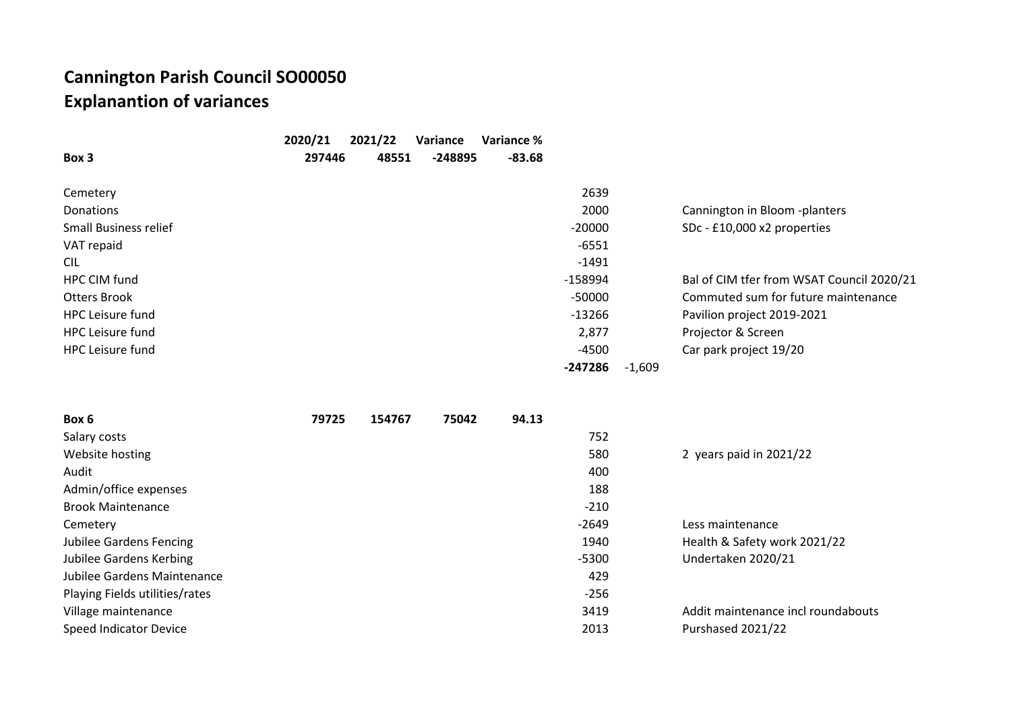## **Cannington Parish Council SO00050 Explanantion of variances**

|                              | 2020/21 | 2021/22 | Variance | Variance % |           |          |                                           |
|------------------------------|---------|---------|----------|------------|-----------|----------|-------------------------------------------|
| Box 3                        | 297446  | 48551   | -248895  | $-83.68$   |           |          |                                           |
|                              |         |         |          |            |           |          |                                           |
| Cemetery                     |         |         |          |            | 2639      |          |                                           |
| Donations                    |         |         |          |            | 2000      |          | Cannington in Bloom -planters             |
| <b>Small Business relief</b> |         |         |          |            | $-20000$  |          | SDc - £10,000 x2 properties               |
| VAT repaid                   |         |         |          |            | $-6551$   |          |                                           |
| <b>CIL</b>                   |         |         |          |            | $-1491$   |          |                                           |
| HPC CIM fund                 |         |         |          |            | $-158994$ |          | Bal of CIM tfer from WSAT Council 2020/21 |
| Otters Brook                 |         |         |          |            | $-50000$  |          | Commuted sum for future maintenance       |
| <b>HPC</b> Leisure fund      |         |         |          |            | $-13266$  |          | Pavilion project 2019-2021                |
| <b>HPC</b> Leisure fund      |         |         |          |            | 2,877     |          | Projector & Screen                        |
| HPC Leisure fund             |         |         |          |            | $-4500$   |          | Car park project 19/20                    |
|                              |         |         |          |            | -247286   | $-1,609$ |                                           |

| Box 6                          | 79725 | 154767 | 75042 | 94.13 |         |                                    |
|--------------------------------|-------|--------|-------|-------|---------|------------------------------------|
| Salary costs                   |       |        |       |       | 752     |                                    |
| Website hosting                |       |        |       |       | 580     | 2 years paid in 2021/22            |
| Audit                          |       |        |       |       | 400     |                                    |
| Admin/office expenses          |       |        |       |       | 188     |                                    |
| <b>Brook Maintenance</b>       |       |        |       |       | $-210$  |                                    |
| Cemetery                       |       |        |       |       | $-2649$ | Less maintenance                   |
| Jubilee Gardens Fencing        |       |        |       |       | 1940    | Health & Safety work 2021/22       |
| Jubilee Gardens Kerbing        |       |        |       |       | $-5300$ | Undertaken 2020/21                 |
| Jubilee Gardens Maintenance    |       |        |       |       | 429     |                                    |
| Playing Fields utilities/rates |       |        |       |       | $-256$  |                                    |
| Village maintenance            |       |        |       |       | 3419    | Addit maintenance incl roundabouts |
| <b>Speed Indicator Device</b>  |       |        |       |       | 2013    | Purshased 2021/22                  |